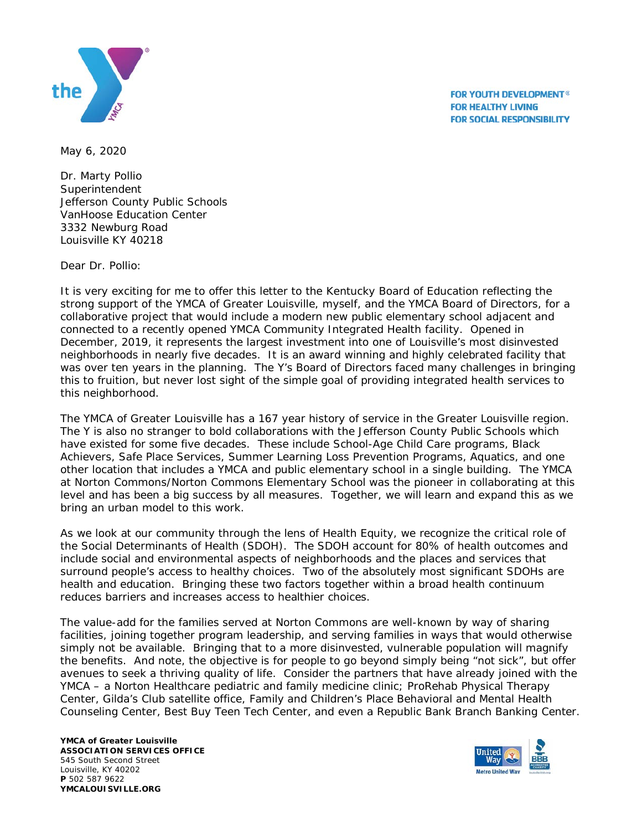

**FOR YOUTH DEVELOPMENT® FOR HEALTHY LIVING FOR SOCIAL RESPONSIBILITY** 

May 6, 2020

Dr. Marty Pollio **Superintendent** Jefferson County Public Schools VanHoose Education Center 3332 Newburg Road Louisville KY 40218

Dear Dr. Pollio:

It is very exciting for me to offer this letter to the Kentucky Board of Education reflecting the strong support of the YMCA of Greater Louisville, myself, and the YMCA Board of Directors, for a collaborative project that would include a modern new public elementary school adjacent and connected to a recently opened YMCA Community Integrated Health facility. Opened in December, 2019, it represents the largest investment into one of Louisville's most disinvested neighborhoods in nearly five decades. It is an award winning and highly celebrated facility that was over ten years in the planning. The Y's Board of Directors faced many challenges in bringing this to fruition, but never lost sight of the simple goal of providing integrated health services to this neighborhood.

The YMCA of Greater Louisville has a 167 year history of service in the Greater Louisville region. The Y is also no stranger to bold collaborations with the Jefferson County Public Schools which have existed for some five decades. These include School-Age Child Care programs, Black Achievers, Safe Place Services, Summer Learning Loss Prevention Programs, Aquatics, and one other location that includes a YMCA and public elementary school in a single building. The YMCA at Norton Commons/Norton Commons Elementary School was the pioneer in collaborating at this level and has been a big success by all measures. Together, we will learn and expand this as we bring an urban model to this work.

As we look at our community through the lens of Health Equity, we recognize the critical role of the Social Determinants of Health (SDOH). The SDOH account for 80% of health outcomes and include social and environmental aspects of neighborhoods and the places and services that surround people's access to healthy choices. Two of the absolutely most significant SDOHs are health and education. Bringing these two factors together within a broad health continuum reduces barriers and increases access to healthier choices.

The value-add for the families served at Norton Commons are well-known by way of sharing facilities, joining together program leadership, and serving families in ways that would otherwise simply not be available. Bringing that to a more disinvested, vulnerable population will magnify the benefits. And note, the objective is for people to go beyond simply being "not sick", but offer avenues to seek a thriving quality of life. Consider the partners that have already joined with the YMCA – a Norton Healthcare pediatric and family medicine clinic; ProRehab Physical Therapy Center, Gilda's Club satellite office, Family and Children's Place Behavioral and Mental Health Counseling Center, Best Buy Teen Tech Center, and even a Republic Bank Branch Banking Center.

**YMCA of Greater Louisville ASSOCIATION SERVICES OFFICE** 545 South Second Street Louisville, KY 40202 **P** 502 587 9622 **YMCALOUISVILLE.ORG**